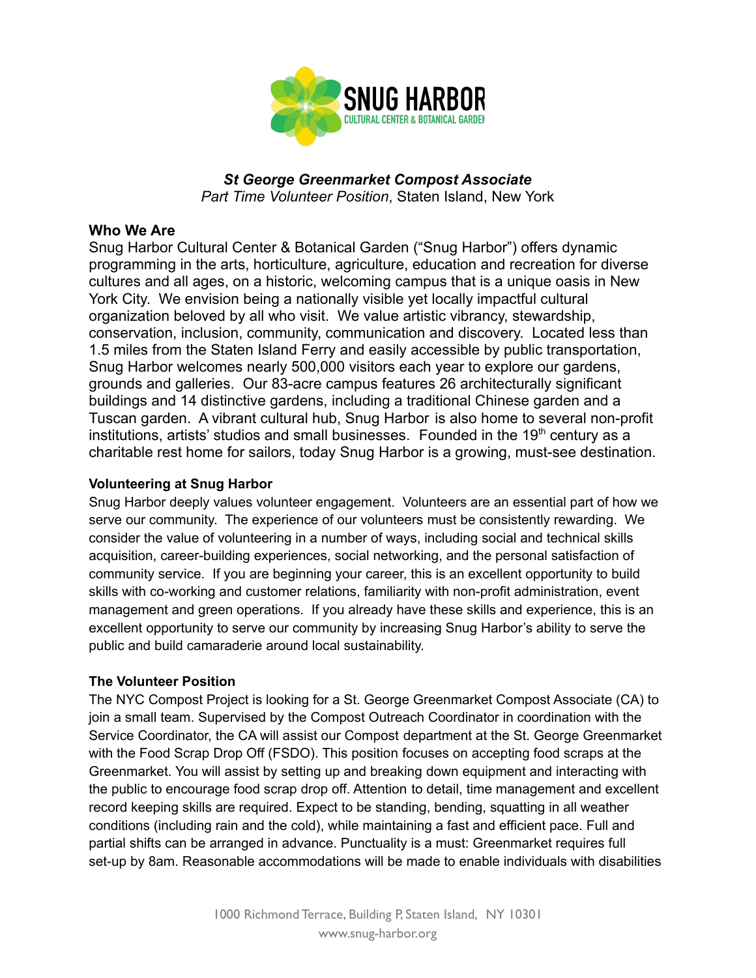

*St George Greenmarket Compost Associate Part Time Volunteer Position*, Staten Island, New York

### **Who We Are**

Snug Harbor Cultural Center & Botanical Garden ("Snug Harbor") offers dynamic programming in the arts, horticulture, agriculture, education and recreation for diverse cultures and all ages, on a historic, welcoming campus that is a unique oasis in New York City. We envision being a nationally visible yet locally impactful cultural organization beloved by all who visit. We value artistic vibrancy, stewardship, conservation, inclusion, community, communication and discovery. Located less than 1.5 miles from the Staten Island Ferry and easily accessible by public transportation, Snug Harbor welcomes nearly 500,000 visitors each year to explore our gardens, grounds and galleries. Our 83-acre campus features 26 architecturally significant buildings and 14 distinctive gardens, including a traditional Chinese garden and a Tuscan garden. A vibrant cultural hub, Snug Harbor is also home to several non-profit institutions, artists' studios and small businesses. Founded in the  $19<sup>th</sup>$  century as a charitable rest home for sailors, today Snug Harbor is a growing, must-see destination.

#### **Volunteering at Snug Harbor**

Snug Harbor deeply values volunteer engagement. Volunteers are an essential part of how we serve our community. The experience of our volunteers must be consistently rewarding. We consider the value of volunteering in a number of ways, including social and technical skills acquisition, career-building experiences, social networking, and the personal satisfaction of community service. If you are beginning your career, this is an excellent opportunity to build skills with co-working and customer relations, familiarity with non-profit administration, event management and green operations. If you already have these skills and experience, this is an excellent opportunity to serve our community by increasing Snug Harbor's ability to serve the public and build camaraderie around local sustainability.

#### **The Volunteer Position**

The NYC Compost Project is looking for a St. George Greenmarket Compost Associate (CA) to join a small team. Supervised by the Compost Outreach Coordinator in coordination with the Service Coordinator, the CA will assist our Compost department at the St. George Greenmarket with the Food Scrap Drop Off (FSDO). This position focuses on accepting food scraps at the Greenmarket. You will assist by setting up and breaking down equipment and interacting with the public to encourage food scrap drop off. Attention to detail, time management and excellent record keeping skills are required. Expect to be standing, bending, squatting in all weather conditions (including rain and the cold), while maintaining a fast and efficient pace. Full and partial shifts can be arranged in advance. Punctuality is a must: Greenmarket requires full set-up by 8am. Reasonable accommodations will be made to enable individuals with disabilities